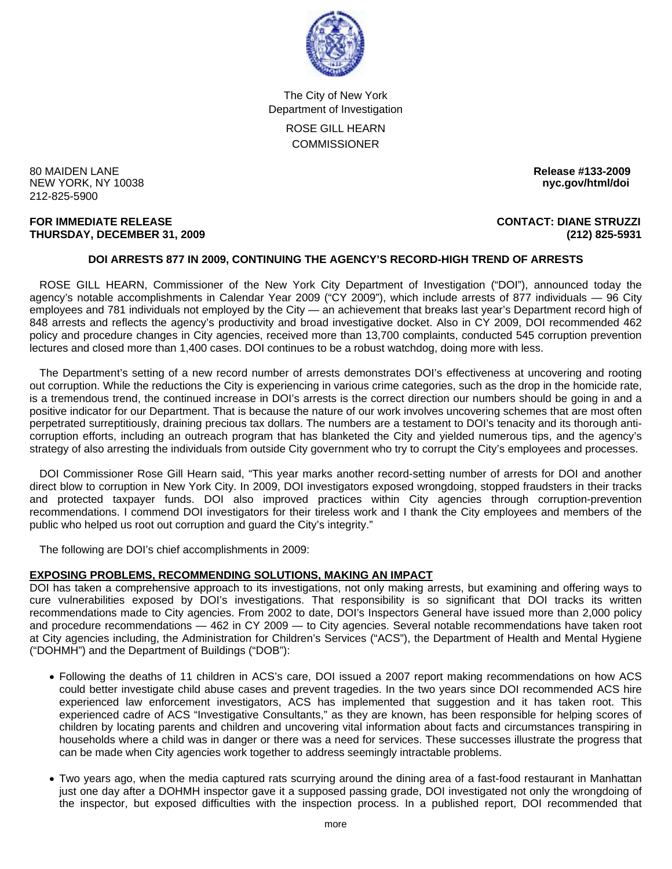

The City of New York Department of Investigation

ROSE GILL HEARN **COMMISSIONER** 

80 MAIDEN LANE **Release #133-2009 NEW YORK, NY 10038** 212-825-5900

#### **FOR IMMEDIATE RELEASE CONTACT: DIANE STRUZZI THURSDAY, DECEMBER 31, 2009 (212) 825-5931**

# **DOI ARRESTS 877 IN 2009, CONTINUING THE AGENCY'S RECORD-HIGH TREND OF ARRESTS**

 ROSE GILL HEARN, Commissioner of the New York City Department of Investigation ("DOI"), announced today the agency's notable accomplishments in Calendar Year 2009 ("CY 2009"), which include arrests of 877 individuals — 96 City employees and 781 individuals not employed by the City — an achievement that breaks last year's Department record high of 848 arrests and reflects the agency's productivity and broad investigative docket. Also in CY 2009, DOI recommended 462 policy and procedure changes in City agencies, received more than 13,700 complaints, conducted 545 corruption prevention lectures and closed more than 1,400 cases. DOI continues to be a robust watchdog, doing more with less.

 The Department's setting of a new record number of arrests demonstrates DOI's effectiveness at uncovering and rooting out corruption. While the reductions the City is experiencing in various crime categories, such as the drop in the homicide rate, is a tremendous trend, the continued increase in DOI's arrests is the correct direction our numbers should be going in and a positive indicator for our Department. That is because the nature of our work involves uncovering schemes that are most often perpetrated surreptitiously, draining precious tax dollars. The numbers are a testament to DOI's tenacity and its thorough anticorruption efforts, including an outreach program that has blanketed the City and yielded numerous tips, and the agency's strategy of also arresting the individuals from outside City government who try to corrupt the City's employees and processes.

 DOI Commissioner Rose Gill Hearn said, "This year marks another record-setting number of arrests for DOI and another direct blow to corruption in New York City. In 2009, DOI investigators exposed wrongdoing, stopped fraudsters in their tracks and protected taxpayer funds. DOI also improved practices within City agencies through corruption-prevention recommendations. I commend DOI investigators for their tireless work and I thank the City employees and members of the public who helped us root out corruption and guard the City's integrity."

The following are DOI's chief accomplishments in 2009:

# **EXPOSING PROBLEMS, RECOMMENDING SOLUTIONS, MAKING AN IMPACT**

DOI has taken a comprehensive approach to its investigations, not only making arrests, but examining and offering ways to cure vulnerabilities exposed by DOI's investigations. That responsibility is so significant that DOI tracks its written recommendations made to City agencies. From 2002 to date, DOI's Inspectors General have issued more than 2,000 policy and procedure recommendations — 462 in CY 2009 — to City agencies. Several notable recommendations have taken root at City agencies including, the Administration for Children's Services ("ACS"), the Department of Health and Mental Hygiene ("DOHMH") and the Department of Buildings ("DOB"):

- Following the deaths of 11 children in ACS's care, DOI issued a 2007 report making recommendations on how ACS could better investigate child abuse cases and prevent tragedies. In the two years since DOI recommended ACS hire experienced law enforcement investigators, ACS has implemented that suggestion and it has taken root. This experienced cadre of ACS "Investigative Consultants," as they are known, has been responsible for helping scores of children by locating parents and children and uncovering vital information about facts and circumstances transpiring in households where a child was in danger or there was a need for services. These successes illustrate the progress that can be made when City agencies work together to address seemingly intractable problems.
- Two years ago, when the media captured rats scurrying around the dining area of a fast-food restaurant in Manhattan just one day after a DOHMH inspector gave it a supposed passing grade, DOI investigated not only the wrongdoing of the inspector, but exposed difficulties with the inspection process. In a published report, DOI recommended that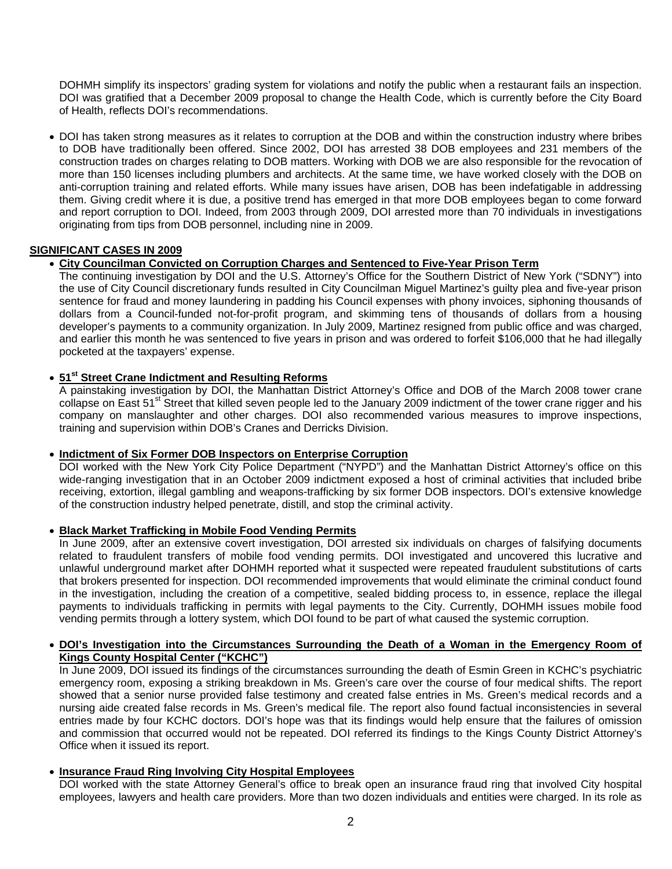DOHMH simplify its inspectors' grading system for violations and notify the public when a restaurant fails an inspection. DOI was gratified that a December 2009 proposal to change the Health Code, which is currently before the City Board of Health, reflects DOI's recommendations.

• DOI has taken strong measures as it relates to corruption at the DOB and within the construction industry where bribes to DOB have traditionally been offered. Since 2002, DOI has arrested 38 DOB employees and 231 members of the construction trades on charges relating to DOB matters. Working with DOB we are also responsible for the revocation of more than 150 licenses including plumbers and architects. At the same time, we have worked closely with the DOB on anti-corruption training and related efforts. While many issues have arisen, DOB has been indefatigable in addressing them. Giving credit where it is due, a positive trend has emerged in that more DOB employees began to come forward and report corruption to DOI. Indeed, from 2003 through 2009, DOI arrested more than 70 individuals in investigations originating from tips from DOB personnel, including nine in 2009.

# **SIGNIFICANT CASES IN 2009**

# • **City Councilman Convicted on Corruption Charges and Sentenced to Five-Year Prison Term**

 The continuing investigation by DOI and the U.S. Attorney's Office for the Southern District of New York ("SDNY") into the use of City Council discretionary funds resulted in City Councilman Miguel Martinez's guilty plea and five-year prison sentence for fraud and money laundering in padding his Council expenses with phony invoices, siphoning thousands of dollars from a Council-funded not-for-profit program, and skimming tens of thousands of dollars from a housing developer's payments to a community organization. In July 2009, Martinez resigned from public office and was charged, and earlier this month he was sentenced to five years in prison and was ordered to forfeit \$106,000 that he had illegally pocketed at the taxpayers' expense.

# • **51st Street Crane Indictment and Resulting Reforms**

 A painstaking investigation by DOI, the Manhattan District Attorney's Office and DOB of the March 2008 tower crane collapse on East 51<sup>st</sup> Street that killed seven people led to the January 2009 indictment of the tower crane rigger and his company on manslaughter and other charges. DOI also recommended various measures to improve inspections, training and supervision within DOB's Cranes and Derricks Division.

# • **Indictment of Six Former DOB Inspectors on Enterprise Corruption**

DOI worked with the New York City Police Department ("NYPD") and the Manhattan District Attorney's office on this wide-ranging investigation that in an October 2009 indictment exposed a host of criminal activities that included bribe receiving, extortion, illegal gambling and weapons-trafficking by six former DOB inspectors. DOI's extensive knowledge of the construction industry helped penetrate, distill, and stop the criminal activity.

# • **Black Market Trafficking in Mobile Food Vending Permits**

 In June 2009, after an extensive covert investigation, DOI arrested six individuals on charges of falsifying documents related to fraudulent transfers of mobile food vending permits. DOI investigated and uncovered this lucrative and unlawful underground market after DOHMH reported what it suspected were repeated fraudulent substitutions of carts that brokers presented for inspection. DOI recommended improvements that would eliminate the criminal conduct found in the investigation, including the creation of a competitive, sealed bidding process to, in essence, replace the illegal payments to individuals trafficking in permits with legal payments to the City. Currently, DOHMH issues mobile food vending permits through a lottery system, which DOI found to be part of what caused the systemic corruption.

## • **DOI's Investigation into the Circumstances Surrounding the Death of a Woman in the Emergency Room of Kings County Hospital Center ("KCHC")**

In June 2009, DOI issued its findings of the circumstances surrounding the death of Esmin Green in KCHC's psychiatric emergency room, exposing a striking breakdown in Ms. Green's care over the course of four medical shifts. The report showed that a senior nurse provided false testimony and created false entries in Ms. Green's medical records and a nursing aide created false records in Ms. Green's medical file. The report also found factual inconsistencies in several entries made by four KCHC doctors. DOI's hope was that its findings would help ensure that the failures of omission and commission that occurred would not be repeated. DOI referred its findings to the Kings County District Attorney's Office when it issued its report.

# • **Insurance Fraud Ring Involving City Hospital Employees**

DOI worked with the state Attorney General's office to break open an insurance fraud ring that involved City hospital employees, lawyers and health care providers. More than two dozen individuals and entities were charged. In its role as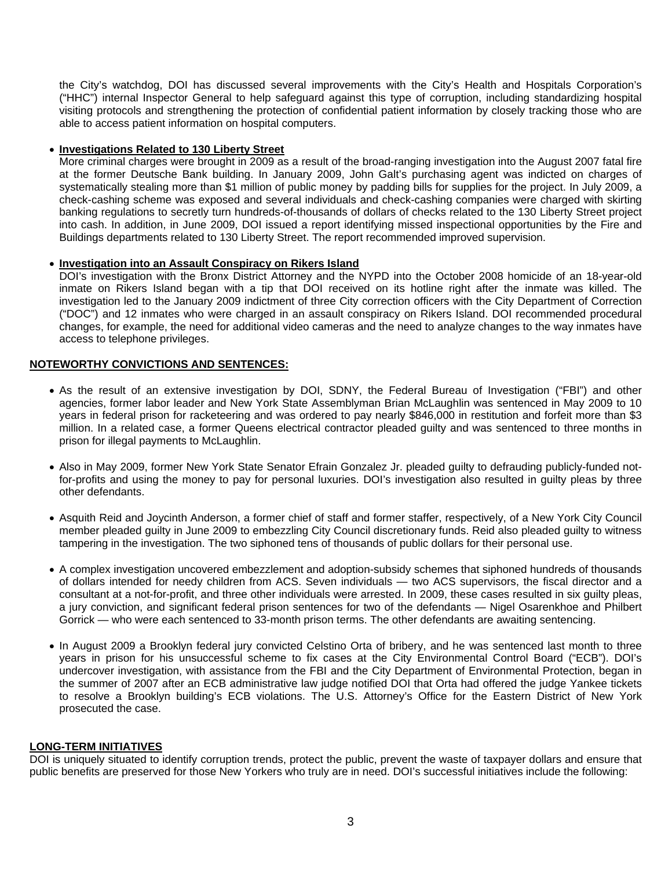the City's watchdog, DOI has discussed several improvements with the City's Health and Hospitals Corporation's ("HHC") internal Inspector General to help safeguard against this type of corruption, including standardizing hospital visiting protocols and strengthening the protection of confidential patient information by closely tracking those who are able to access patient information on hospital computers.

### • **Investigations Related to 130 Liberty Street**

More criminal charges were brought in 2009 as a result of the broad-ranging investigation into the August 2007 fatal fire at the former Deutsche Bank building. In January 2009, John Galt's purchasing agent was indicted on charges of systematically stealing more than \$1 million of public money by padding bills for supplies for the project. In July 2009, a check-cashing scheme was exposed and several individuals and check-cashing companies were charged with skirting banking regulations to secretly turn hundreds-of-thousands of dollars of checks related to the 130 Liberty Street project into cash. In addition, in June 2009, DOI issued a report identifying missed inspectional opportunities by the Fire and Buildings departments related to 130 Liberty Street. The report recommended improved supervision.

## • **Investigation into an Assault Conspiracy on Rikers Island**

DOI's investigation with the Bronx District Attorney and the NYPD into the October 2008 homicide of an 18-year-old inmate on Rikers Island began with a tip that DOI received on its hotline right after the inmate was killed. The investigation led to the January 2009 indictment of three City correction officers with the City Department of Correction ("DOC") and 12 inmates who were charged in an assault conspiracy on Rikers Island. DOI recommended procedural changes, for example, the need for additional video cameras and the need to analyze changes to the way inmates have access to telephone privileges.

## **NOTEWORTHY CONVICTIONS AND SENTENCES:**

- As the result of an extensive investigation by DOI, SDNY, the Federal Bureau of Investigation ("FBI") and other agencies, former labor leader and New York State Assemblyman Brian McLaughlin was sentenced in May 2009 to 10 years in federal prison for racketeering and was ordered to pay nearly \$846,000 in restitution and forfeit more than \$3 million. In a related case, a former Queens electrical contractor pleaded guilty and was sentenced to three months in prison for illegal payments to McLaughlin.
- Also in May 2009, former New York State Senator Efrain Gonzalez Jr. pleaded guilty to defrauding publicly-funded notfor-profits and using the money to pay for personal luxuries. DOI's investigation also resulted in guilty pleas by three other defendants.
- Asquith Reid and Joycinth Anderson, a former chief of staff and former staffer, respectively, of a New York City Council member pleaded guilty in June 2009 to embezzling City Council discretionary funds. Reid also pleaded guilty to witness tampering in the investigation. The two siphoned tens of thousands of public dollars for their personal use.
- A complex investigation uncovered embezzlement and adoption-subsidy schemes that siphoned hundreds of thousands of dollars intended for needy children from ACS. Seven individuals — two ACS supervisors, the fiscal director and a consultant at a not-for-profit, and three other individuals were arrested. In 2009, these cases resulted in six guilty pleas, a jury conviction, and significant federal prison sentences for two of the defendants — Nigel Osarenkhoe and Philbert Gorrick — who were each sentenced to 33-month prison terms. The other defendants are awaiting sentencing.
- In August 2009 a Brooklyn federal jury convicted Celstino Orta of bribery, and he was sentenced last month to three years in prison for his unsuccessful scheme to fix cases at the City Environmental Control Board ("ECB"). DOI's undercover investigation, with assistance from the FBI and the City Department of Environmental Protection, began in the summer of 2007 after an ECB administrative law judge notified DOI that Orta had offered the judge Yankee tickets to resolve a Brooklyn building's ECB violations. The U.S. Attorney's Office for the Eastern District of New York prosecuted the case.

#### **LONG-TERM INITIATIVES**

DOI is uniquely situated to identify corruption trends, protect the public, prevent the waste of taxpayer dollars and ensure that public benefits are preserved for those New Yorkers who truly are in need. DOI's successful initiatives include the following: